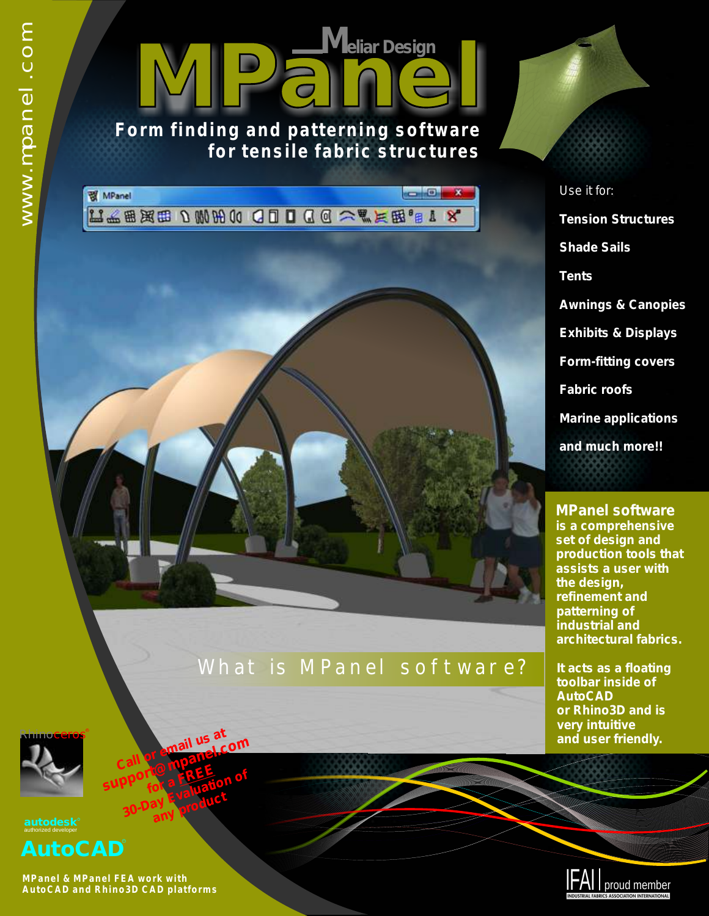

#### **Form finding and patterning software for tensile fabric structures**

 $\epsilon$  ,  $\epsilon$ **图 MPanel**  $\mathbf{x}$ LA 出现用 D W H O Q D D Q Q A 气下因。B I X

## What is MPanel software?

*Use it for: Tension Structures Shade Sails Tents Awnings & Canopies Exhibits & Displays Form-fitting covers Fabric roofs Marine applications and much more!!*

> **MPanel software is a comprehensive set of design and production tools that assists a user with the design, refinement and patterning of industrial and architectural fabrics.**

**It acts as a floating toolbar inside of AutoCAD or Rhino3D and is very intuitive and user friendly.**





**MPanel & MPanel FEA work with AutoCAD and Rhino3D CAD platforms** 

**Call or email us at** 

**Call or email us Lcom**<br>support@mpanel.com **for a FREE** pport **& FREE**fion of<br>30-Day Evaluation of any **product**